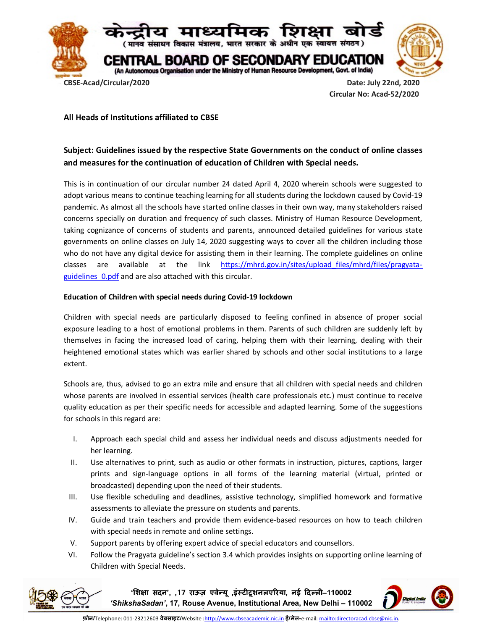

**Circular No: Acad-52/2020** 

## **All Heads of Institutions affiliated to CBSE**

## **Subject: Guidelines issued by the respective State Governments on the conduct of online classes and measures for the continuation of education of Children with Special needs.**

This is in continuation of our circular number 24 dated April 4, 2020 wherein schools were suggested to adopt various means to continue teaching learning for all students during the lockdown caused by Covid-19 pandemic. As almost all the schools have started online classes in their own way, many stakeholders raised concerns specially on duration and frequency of such classes. Ministry of Human Resource Development, taking cognizance of concerns of students and parents, announced detailed guidelines for various state governments on online classes on July 14, 2020 suggesting ways to cover all the children including those who do not have any digital device for assisting them in their learning. The complete guidelines on online classes are available at the link [https://mhrd.gov.in/sites/upload\\_files/mhrd/files/pragyata](https://mhrd.gov.in/sites/upload_files/mhrd/files/pragyata-)guidelines 0.pdf and are also attached with this circular.

## **Education of Children with special needs during Covid-19 lockdown**

Children with special needs are particularly disposed to feeling confined in absence of proper social exposure leading to a host of emotional problems in them. Parents of such children are suddenly left by themselves in facing the increased load of caring, helping them with their learning, dealing with their heightened emotional states which was earlier shared by schools and other social institutions to a large extent.

Schools are, thus, advised to go an extra mile and ensure that all children with special needs and children whose parents are involved in essential services (health care professionals etc.) must continue to receive quality education as per their specific needs for accessible and adapted learning. Some of the suggestions for schools in this regard are:

- I. Approach each special child and assess her individual needs and discuss adjustments needed for her learning.
- II. Use alternatives to print, such as audio or other formats in instruction, pictures, captions, larger prints and sign-language options in all forms of the learning material (virtual, printed or broadcasted) depending upon the need of their students.
- III. Use flexible scheduling and deadlines, assistive technology, simplified homework and formative assessments to alleviate the pressure on students and parents.
- IV. Guide and train teachers and provide them evidence-based resources on how to teach children with special needs in remote and online settings.
- V. Support parents by offering expert advice of special educators and counsellors.
- VI. Follow the Pragyata guideline's section 3.4 which provides insights on supporting online learning of Children with Special Needs.



**'ͧश¢ा सदन', ,17 राऊज़ एवेÛयू ,इंèटȣटू शनलएǐरया, नई Ǒदãलȣ–110002**  *'ShikshaSadan'***, 17, Rouse Avenue, Institutional Area, New Delhi – 110002**

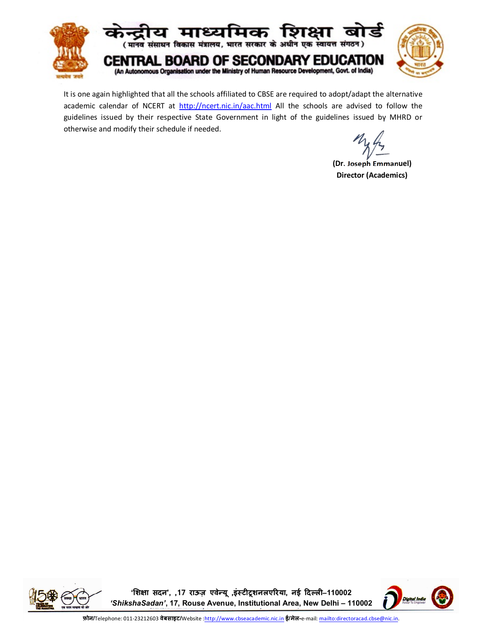

It is one again highlighted that all the schools affiliated to CBSE are required to adopt/adapt the alternative academic calendar of NCERT at <http://ncert.nic.in/aac.html> All the schools are advised to follow the guidelines issued by their respective State Government in light of the guidelines issued by MHRD or otherwise and modify their schedule if needed.

**(Dr. Joseph Emmanuel) Director (Academics)**